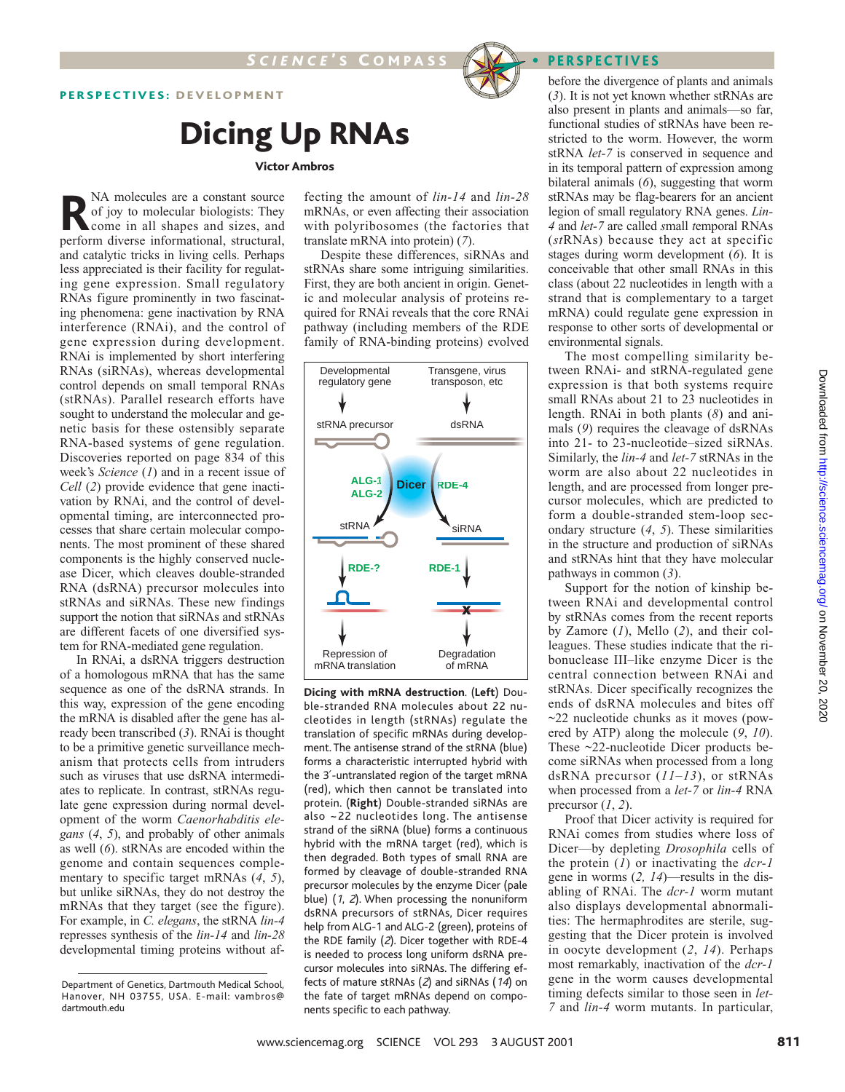

## Dicing Up RNAs

#### Victor Ambros

**R**NA molecules are a constant source<br>of joy to molecular biologists: They<br>come in all shapes and sizes, and<br>nerform diverse informational structural of joy to molecular biologists: They come in all shapes and sizes, and perform diverse informational, structural, and catalytic tricks in living cells. Perhaps less appreciated is their facility for regulating gene expression. Small regulatory RNAs figure prominently in two fascinating phenomena: gene inactivation by RNA interference (RNAi), and the control of gene expression during development. RNAi is implemented by short interfering RNAs (siRNAs), whereas developmental control depends on small temporal RNAs (stRNAs). Parallel research efforts have sought to understand the molecular and genetic basis for these ostensibly separate RNA-based systems of gene regulation. Discoveries reported on page 834 of this week's *Science* (*1*) and in a recent issue of *Cell* (*2*) provide evidence that gene inactivation by RNAi, and the control of developmental timing, are interconnected processes that share certain molecular components. The most prominent of these shared components is the highly conserved nuclease Dicer, which cleaves double-stranded RNA (dsRNA) precursor molecules into stRNAs and siRNAs. These new findings support the notion that siRNAs and stRNAs are different facets of one diversified system for RNA-mediated gene regulation.

In RNAi, a dsRNA triggers destruction of a homologous mRNA that has the same sequence as one of the dsRNA strands. In this way, expression of the gene encoding the mRNA is disabled after the gene has already been transcribed (*3*). RNAi is thought to be a primitive genetic surveillance mechanism that protects cells from intruders such as viruses that use dsRNA intermediates to replicate. In contrast, stRNAs regulate gene expression during normal development of the worm *Caenorhabditis elegans* (*4*, *5*), and probably of other animals as well (*6*). stRNAs are encoded within the genome and contain sequences complementary to specific target mRNAs (*4*, *5*), but unlike siRNAs, they do not destroy the mRNAs that they target (see the figure). For example, in *C. elegans*, the stRNA *lin-4* represses synthesis of the *lin-14* and *lin-28* developmental timing proteins without af-

fecting the amount of *lin-14* and *lin-28* mRNAs, or even affecting their association with polyribosomes (the factories that translate mRNA into protein) (*7*).

Despite these differences, siRNAs and stRNAs share some intriguing similarities. First, they are both ancient in origin. Genetic and molecular analysis of proteins required for RNAi reveals that the core RNAi pathway (including members of the RDE family of RNA-binding proteins) evolved



**Dicing with mRNA destruction**. (**Left**) Double-stranded RNA molecules about 22 nucleotides in length (stRNAs) regulate the translation of specific mRNAs during development. The antisense strand of the stRNA (blue) forms a characteristic interrupted hybrid with the 3′-untranslated region of the target mRNA (red), which then cannot be translated into protein. (**Right**) Double-stranded siRNAs are also ~22 nucleotides long. The antisense strand of the siRNA (blue) forms a continuous hybrid with the mRNA target (red), which is then degraded. Both types of small RNA are formed by cleavage of double-stranded RNA precursor molecules by the enzyme Dicer (pale blue) (1, <sup>2</sup>). When processing the nonuniform dsRNA precursors of stRNAs, Dicer requires help from ALG-1 and ALG-2 (green), proteins of the RDE family (2). Dicer together with RDE-4 is needed to process long uniform dsRNA precursor molecules into siRNAs. The differing effects of mature stRNAs (2) and siRNAs (14) on the fate of target mRNAs depend on components specific to each pathway.

before the divergence of plants and animals (*3*). It is not yet known whether stRNAs are also present in plants and animals—so far, functional studies of stRNAs have been restricted to the worm. However, the worm stRNA *let-7* is conserved in sequence and in its temporal pattern of expression among bilateral animals (*6*), suggesting that worm stRNAs may be flag-bearers for an ancient legion of small regulatory RNA genes. *Lin-4* and *let-7* are called *s*mall *t*emporal RNAs (*st*RNAs) because they act at specific stages during worm development (*6*). It is conceivable that other small RNAs in this class (about 22 nucleotides in length with a strand that is complementary to a target mRNA) could regulate gene expression in response to other sorts of developmental or environmental signals.

The most compelling similarity between RNAi- and stRNA-regulated gene expression is that both systems require small RNAs about 21 to 23 nucleotides in length. RNAi in both plants (*8*) and animals (*9*) requires the cleavage of dsRNAs into 21- to 23-nucleotide–sized siRNAs. Similarly, the *lin-4* and *let-7* stRNAs in the worm are also about 22 nucleotides in length, and are processed from longer precursor molecules, which are predicted to form a double-stranded stem-loop secondary structure (*4*, *5*). These similarities in the structure and production of siRNAs and stRNAs hint that they have molecular pathways in common (*3*).

Support for the notion of kinship between RNAi and developmental control by stRNAs comes from the recent reports by Zamore (*1*), Mello (*2*), and their colleagues. These studies indicate that the ribonuclease III–like enzyme Dicer is the central connection between RNAi and stRNAs. Dicer specifically recognizes the ends of dsRNA molecules and bites off  $\sim$ 22 nucleotide chunks as it moves (powered by ATP) along the molecule (*9*, *10*). These ~22-nucleotide Dicer products become siRNAs when processed from a long dsRNA precursor (*11*–*13*), or stRNAs when processed from a *let-7* or *lin-4* RNA precursor  $(1, 2)$ .

Proof that Dicer activity is required for RNAi comes from studies where loss of Dicer—by depleting *Drosophila* cells of the protein (*1*) or inactivating the *dcr-1* gene in worms (*2, 14*)—results in the disabling of RNAi. The *dcr-1* worm mutant also displays developmental abnormalities: The hermaphrodites are sterile, suggesting that the Dicer protein is involved in oocyte development (*2*, *14*). Perhaps most remarkably, inactivation of the *dcr-1* gene in the worm causes developmental timing defects similar to those seen in *let-7* and *lin-4* worm mutants. In particular,

Department of Genetics, Dartmouth Medical School, Hanover, NH 03755, USA. E-mail: vambros@ dartmouth.edu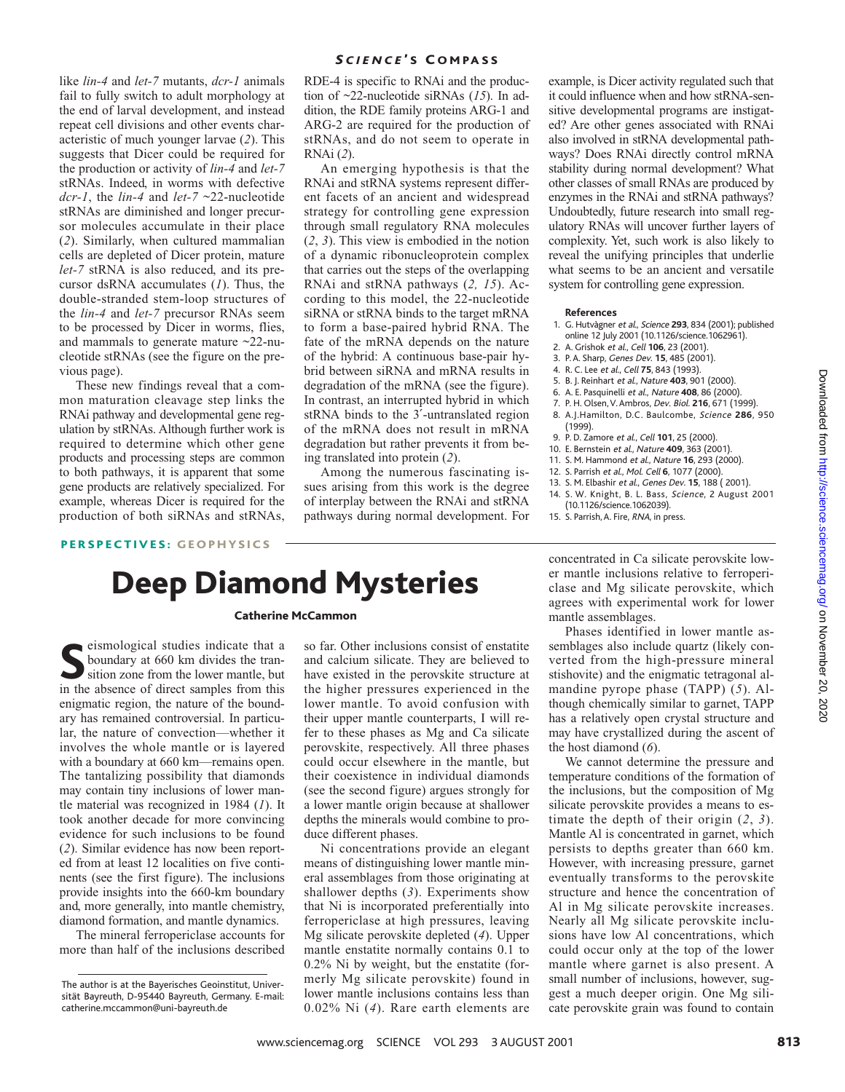like *lin-4* and *let-7* mutants, *dcr-1* animals fail to fully switch to adult morphology at the end of larval development, and instead repeat cell divisions and other events characteristic of much younger larvae (*2*). This suggests that Dicer could be required for the production or activity of *lin-4* and *let-7* stRNAs. Indeed, in worms with defective *dcr-1*, the *lin-4* and *let-7* ~22-nucleotide stRNAs are diminished and longer precursor molecules accumulate in their place (*2*). Similarly, when cultured mammalian cells are depleted of Dicer protein, mature *let-7* stRNA is also reduced, and its precursor dsRNA accumulates (*1*). Thus, the double-stranded stem-loop structures of the *lin-4* and *let-7* precursor RNAs seem to be processed by Dicer in worms, flies, and mammals to generate mature ~22-nucleotide stRNAs (see the figure on the previous page).

These new findings reveal that a common maturation cleavage step links the RNAi pathway and developmental gene regulation by stRNAs. Although further work is required to determine which other gene products and processing steps are common to both pathways, it is apparent that some gene products are relatively specialized. For example, whereas Dicer is required for the production of both siRNAs and stRNAs, RDE-4 is specific to RNAi and the production of ~22-nucleotide siRNAs (*15*). In addition, the RDE family proteins ARG-1 and ARG-2 are required for the production of stRNAs, and do not seem to operate in RNAi (*2*).

An emerging hypothesis is that the RNAi and stRNA systems represent different facets of an ancient and widespread strategy for controlling gene expression through small regulatory RNA molecules (*2*, *3*). This view is embodied in the notion of a dynamic ribonucleoprotein complex that carries out the steps of the overlapping RNAi and stRNA pathways (*2, 15*). According to this model, the 22-nucleotide siRNA or stRNA binds to the target mRNA to form a base-paired hybrid RNA. The fate of the mRNA depends on the nature of the hybrid: A continuous base-pair hybrid between siRNA and mRNA results in degradation of the mRNA (see the figure). In contrast, an interrupted hybrid in which stRNA binds to the 3′-untranslated region of the mRNA does not result in mRNA degradation but rather prevents it from being translated into protein (*2*).

Among the numerous fascinating issues arising from this work is the degree of interplay between the RNAi and stRNA pathways during normal development. For example, is Dicer activity regulated such that it could influence when and how stRNA-sensitive developmental programs are instigated? Are other genes associated with RNAi also involved in stRNA developmental pathways? Does RNAi directly control mRNA stability during normal development? What other classes of small RNAs are produced by enzymes in the RNAi and stRNA pathways? Undoubtedly, future research into small regulatory RNAs will uncover further layers of complexity. Yet, such work is also likely to reveal the unifying principles that underlie what seems to be an ancient and versatile system for controlling gene expression.

### **References**

- 1. G. Hutvàgner et al., Science **293**, 834 (2001); published online 12 July 2001 (10.1126/science.1062961).
- 2. A. Grishok et al., Cell **106**, 23 (2001).
- 3. P. A. Sharp, Genes Dev. **15**, 485 (2001).
- 4. R. C. Lee et al., Cell **75**, 843 (1993).
- 5. B. J. Reinhart et al., Nature **403**, 901 (2000).
- 6. A. E. Pasquinelli et al., Nature **408**, 86 (2000).
- 7. P. H. Olsen, V. Ambros, Dev. Biol. **216**, 671 (1999). 8. A.J.Hamilton, D.C. Baulcombe, Science **286**, 950 (1999).
- 9. P. D. Zamore et al., Cell **101**, 25 (2000).
- 10. E. Bernstein et al., Nature **409**, 363 (2001).
- 11. S. M. Hammond et al., Nature **16**, 293 (2000).
- 12. S. Parrish et al., Mol. Cell **6**, 1077 (2000).
- 13. S. M. Elbashir et al., Genes Dev. **15**, 188 ( 2001).
- 14. S. W. Knight, B. L. Bass, Science, 2 August 2001 (10.1126/science.1062039).
- 15. S. Parrish, A. Fire, RNA, in press.

PERSPECTIVES: GEOPHYSICS

# Deep Diamond Mysteries

### Catherine McCammon

Seismological studies indicate that a<br>
stitution zone from the lower mantle, but<br>
in the absence of direct samples from this eismological studies indicate that a boundary at 660 km divides the transition zone from the lower mantle, but enigmatic region, the nature of the boundary has remained controversial. In particular, the nature of convection—whether it involves the whole mantle or is layered with a boundary at 660 km—remains open. The tantalizing possibility that diamonds may contain tiny inclusions of lower mantle material was recognized in 1984 (*1*). It took another decade for more convincing evidence for such inclusions to be found (*2*). Similar evidence has now been reported from at least 12 localities on five continents (see the first figure). The inclusions provide insights into the 660-km boundary and, more generally, into mantle chemistry, diamond formation, and mantle dynamics.

The mineral ferropericlase accounts for more than half of the inclusions described

so far. Other inclusions consist of enstatite and calcium silicate. They are believed to have existed in the perovskite structure at the higher pressures experienced in the lower mantle. To avoid confusion with their upper mantle counterparts, I will refer to these phases as Mg and Ca silicate perovskite, respectively. All three phases could occur elsewhere in the mantle, but their coexistence in individual diamonds (see the second figure) argues strongly for a lower mantle origin because at shallower depths the minerals would combine to produce different phases.

Ni concentrations provide an elegant means of distinguishing lower mantle mineral assemblages from those originating at shallower depths (*3*). Experiments show that Ni is incorporated preferentially into ferropericlase at high pressures, leaving Mg silicate perovskite depleted (*4*). Upper mantle enstatite normally contains 0.1 to 0.2% Ni by weight, but the enstatite (formerly Mg silicate perovskite) found in lower mantle inclusions contains less than 0.02% Ni (*4*). Rare earth elements are

concentrated in Ca silicate perovskite lower mantle inclusions relative to ferropericlase and Mg silicate perovskite, which agrees with experimental work for lower mantle assemblages.

Phases identified in lower mantle assemblages also include quartz (likely converted from the high-pressure mineral stishovite) and the enigmatic tetragonal almandine pyrope phase (TAPP) (*5*). Although chemically similar to garnet, TAPP has a relatively open crystal structure and may have crystallized during the ascent of the host diamond (*6*).

We cannot determine the pressure and temperature conditions of the formation of the inclusions, but the composition of Mg silicate perovskite provides a means to estimate the depth of their origin (*2*, *3*). Mantle Al is concentrated in garnet, which persists to depths greater than 660 km. However, with increasing pressure, garnet eventually transforms to the perovskite structure and hence the concentration of Al in Mg silicate perovskite increases. Nearly all Mg silicate perovskite inclusions have low Al concentrations, which could occur only at the top of the lower mantle where garnet is also present. A small number of inclusions, however, suggest a much deeper origin. One Mg silicate perovskite grain was found to contain

Downloaded from http://science.sciencemag.org/ on November 20, 2020 Downloaded from <http://science.sciencemag.org/> on November 20, 2020

The author is at the Bayerisches Geoinstitut, Universität Bayreuth, D-95440 Bayreuth, Germany. E-mail: catherine.mccammon@uni-bayreuth.de